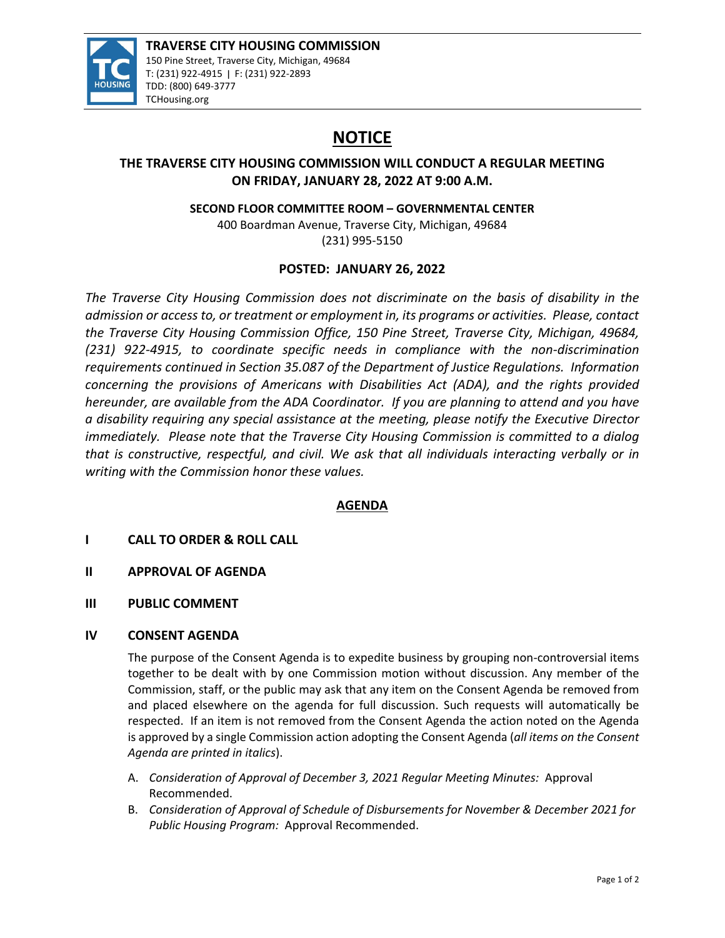

# **NOTICE**

# **THE TRAVERSE CITY HOUSING COMMISSION WILL CONDUCT A REGULAR MEETING ON FRIDAY, JANUARY 28, 2022 AT 9:00 A.M.**

**SECOND FLOOR COMMITTEE ROOM – GOVERNMENTAL CENTER**

400 Boardman Avenue, Traverse City, Michigan, 49684 (231) 995‐5150

# **POSTED: JANUARY 26, 2022**

*The Traverse City Housing Commission does not discriminate on the basis of disability in the admission or access to, or treatment or employment in, its programs or activities. Please, contact the Traverse City Housing Commission Office, 150 Pine Street, Traverse City, Michigan, 49684, (231) 922‐4915, to coordinate specific needs in compliance with the non‐discrimination requirements continued in Section 35.087 of the Department of Justice Regulations. Information concerning the provisions of Americans with Disabilities Act (ADA), and the rights provided hereunder, are available from the ADA Coordinator. If you are planning to attend and you have a disability requiring any special assistance at the meeting, please notify the Executive Director immediately. Please note that the Traverse City Housing Commission is committed to a dialog that is constructive, respectful, and civil. We ask that all individuals interacting verbally or in writing with the Commission honor these values.*

# **AGENDA**

# **I CALL TO ORDER & ROLL CALL**

- **II APPROVAL OF AGENDA**
- **III PUBLIC COMMENT**

## **IV CONSENT AGENDA**

The purpose of the Consent Agenda is to expedite business by grouping non-controversial items together to be dealt with by one Commission motion without discussion. Any member of the Commission, staff, or the public may ask that any item on the Consent Agenda be removed from and placed elsewhere on the agenda for full discussion. Such requests will automatically be respected. If an item is not removed from the Consent Agenda the action noted on the Agenda is approved by a single Commission action adopting the Consent Agenda (*all items on the Consent Agenda are printed in italics*).

- A. *Consideration of Approval of December 3, 2021 Regular Meeting Minutes:* Approval Recommended.
- B. *Consideration of Approval of Schedule of Disbursements for November & December 2021 for Public Housing Program:* Approval Recommended.